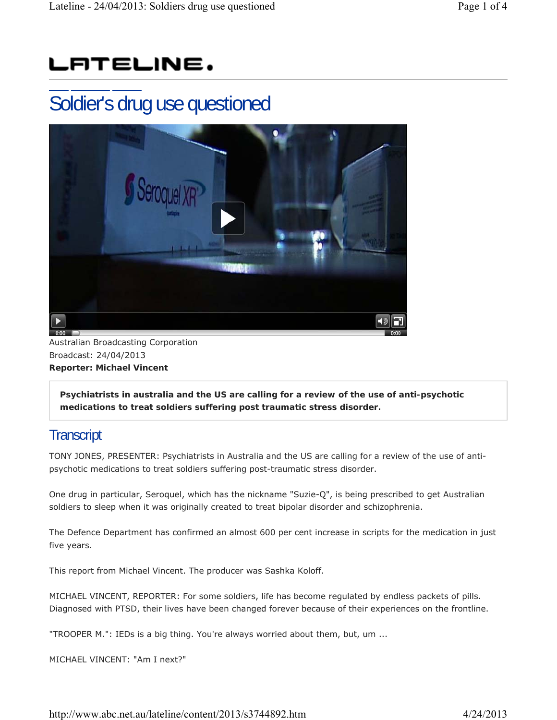## LATELINE.

## Soldier's drug use questioned



Australian Broadcasting Corporation Broadcast: 24/04/2013 **Reporter: Michael Vincent**

**Psychiatrists in australia and the US are calling for a review of the use of anti-psychotic medications to treat soldiers suffering post traumatic stress disorder.**

## **Transcript**

TONY JONES, PRESENTER: Psychiatrists in Australia and the US are calling for a review of the use of antipsychotic medications to treat soldiers suffering post-traumatic stress disorder.

One drug in particular, Seroquel, which has the nickname "Suzie-Q", is being prescribed to get Australian soldiers to sleep when it was originally created to treat bipolar disorder and schizophrenia.

The Defence Department has confirmed an almost 600 per cent increase in scripts for the medication in just five years.

This report from Michael Vincent. The producer was Sashka Koloff.

MICHAEL VINCENT, REPORTER: For some soldiers, life has become regulated by endless packets of pills. Diagnosed with PTSD, their lives have been changed forever because of their experiences on the frontline.

"TROOPER M.": IEDs is a big thing. You're always worried about them, but, um ...

MICHAEL VINCENT: "Am I next?"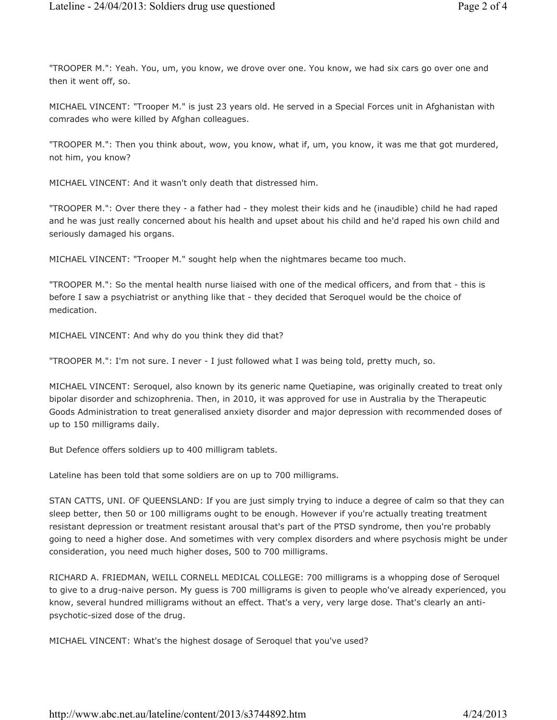"TROOPER M.": Yeah. You, um, you know, we drove over one. You know, we had six cars go over one and then it went off, so.

MICHAEL VINCENT: "Trooper M." is just 23 years old. He served in a Special Forces unit in Afghanistan with comrades who were killed by Afghan colleagues.

"TROOPER M.": Then you think about, wow, you know, what if, um, you know, it was me that got murdered, not him, you know?

MICHAEL VINCENT: And it wasn't only death that distressed him.

"TROOPER M.": Over there they - a father had - they molest their kids and he (inaudible) child he had raped and he was just really concerned about his health and upset about his child and he'd raped his own child and seriously damaged his organs.

MICHAEL VINCENT: "Trooper M." sought help when the nightmares became too much.

"TROOPER M.": So the mental health nurse liaised with one of the medical officers, and from that - this is before I saw a psychiatrist or anything like that - they decided that Seroquel would be the choice of medication.

MICHAEL VINCENT: And why do you think they did that?

"TROOPER M.": I'm not sure. I never - I just followed what I was being told, pretty much, so.

MICHAEL VINCENT: Seroquel, also known by its generic name Quetiapine, was originally created to treat only bipolar disorder and schizophrenia. Then, in 2010, it was approved for use in Australia by the Therapeutic Goods Administration to treat generalised anxiety disorder and major depression with recommended doses of up to 150 milligrams daily.

But Defence offers soldiers up to 400 milligram tablets.

Lateline has been told that some soldiers are on up to 700 milligrams.

STAN CATTS, UNI. OF QUEENSLAND: If you are just simply trying to induce a degree of calm so that they can sleep better, then 50 or 100 milligrams ought to be enough. However if you're actually treating treatment resistant depression or treatment resistant arousal that's part of the PTSD syndrome, then you're probably going to need a higher dose. And sometimes with very complex disorders and where psychosis might be under consideration, you need much higher doses, 500 to 700 milligrams.

RICHARD A. FRIEDMAN, WEILL CORNELL MEDICAL COLLEGE: 700 milligrams is a whopping dose of Seroquel to give to a drug-naive person. My guess is 700 milligrams is given to people who've already experienced, you know, several hundred milligrams without an effect. That's a very, very large dose. That's clearly an antipsychotic-sized dose of the drug.

MICHAEL VINCENT: What's the highest dosage of Seroquel that you've used?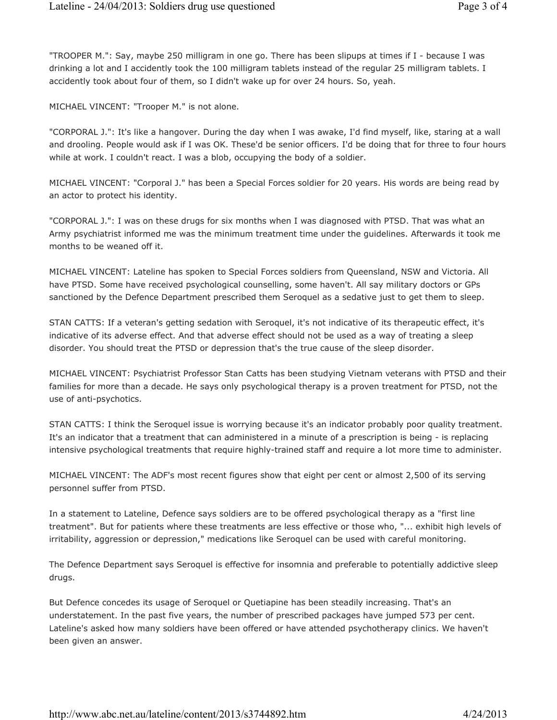"TROOPER M.": Say, maybe 250 milligram in one go. There has been slipups at times if I - because I was drinking a lot and I accidently took the 100 milligram tablets instead of the regular 25 milligram tablets. I accidently took about four of them, so I didn't wake up for over 24 hours. So, yeah.

MICHAEL VINCENT: "Trooper M." is not alone.

"CORPORAL J.": It's like a hangover. During the day when I was awake, I'd find myself, like, staring at a wall and drooling. People would ask if I was OK. These'd be senior officers. I'd be doing that for three to four hours while at work. I couldn't react. I was a blob, occupying the body of a soldier.

MICHAEL VINCENT: "Corporal J." has been a Special Forces soldier for 20 years. His words are being read by an actor to protect his identity.

"CORPORAL J.": I was on these drugs for six months when I was diagnosed with PTSD. That was what an Army psychiatrist informed me was the minimum treatment time under the guidelines. Afterwards it took me months to be weaned off it.

MICHAEL VINCENT: Lateline has spoken to Special Forces soldiers from Queensland, NSW and Victoria. All have PTSD. Some have received psychological counselling, some haven't. All say military doctors or GPs sanctioned by the Defence Department prescribed them Seroquel as a sedative just to get them to sleep.

STAN CATTS: If a veteran's getting sedation with Seroquel, it's not indicative of its therapeutic effect, it's indicative of its adverse effect. And that adverse effect should not be used as a way of treating a sleep disorder. You should treat the PTSD or depression that's the true cause of the sleep disorder.

MICHAEL VINCENT: Psychiatrist Professor Stan Catts has been studying Vietnam veterans with PTSD and their families for more than a decade. He says only psychological therapy is a proven treatment for PTSD, not the use of anti-psychotics.

STAN CATTS: I think the Seroquel issue is worrying because it's an indicator probably poor quality treatment. It's an indicator that a treatment that can administered in a minute of a prescription is being - is replacing intensive psychological treatments that require highly-trained staff and require a lot more time to administer.

MICHAEL VINCENT: The ADF's most recent figures show that eight per cent or almost 2,500 of its serving personnel suffer from PTSD.

In a statement to Lateline, Defence says soldiers are to be offered psychological therapy as a "first line treatment". But for patients where these treatments are less effective or those who, "... exhibit high levels of irritability, aggression or depression," medications like Seroquel can be used with careful monitoring.

The Defence Department says Seroquel is effective for insomnia and preferable to potentially addictive sleep drugs.

But Defence concedes its usage of Seroquel or Quetiapine has been steadily increasing. That's an understatement. In the past five years, the number of prescribed packages have jumped 573 per cent. Lateline's asked how many soldiers have been offered or have attended psychotherapy clinics. We haven't been given an answer.